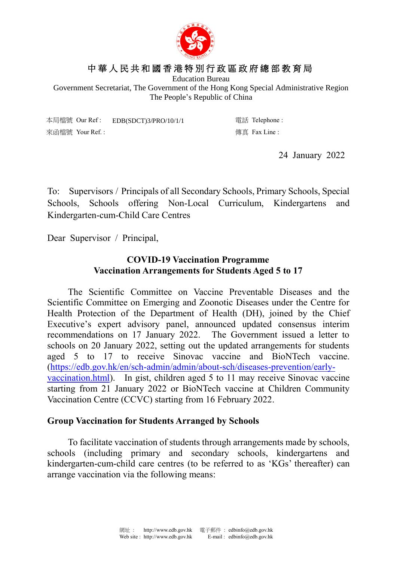

## 中 華 人 民 共 和 國 香 港 特 別 行 政 區 政 府 總 部 教 育 局

Education Bureau

Government Secretariat, The Government of the Hong Kong Special Administrative Region The People's Republic of China

本局檔號 Our Ref : EDB(SDCT)3/PRO/10/1/1 電話 Telephone : 來函檔號 Your Ref.: <br>

24 January 2022

To: Supervisors / Principals of all Secondary Schools, Primary Schools, Special Schools, Schools offering Non-Local Curriculum, Kindergartens and Kindergarten-cum-Child Care Centres

Dear Supervisor / Principal,

## **COVID-19 Vaccination Programme Vaccination Arrangements for Students Aged 5 to 17**

The Scientific Committee on Vaccine Preventable Diseases and the Scientific Committee on Emerging and Zoonotic Diseases under the Centre for Health Protection of the Department of Health (DH), joined by the Chief Executive's expert advisory panel, announced updated consensus interim recommendations on 17 January 2022. The Government issued a letter to schools on 20 January 2022, setting out the updated arrangements for students aged 5 to 17 to receive Sinovac vaccine and BioNTech vaccine. [\(https://edb.gov.hk/en/sch-admin/admin/about-sch/diseases-prevention/early](https://edb.gov.hk/en/sch-admin/admin/about-sch/diseases-prevention/early-vaccination.html)[vaccination.html\)](https://edb.gov.hk/en/sch-admin/admin/about-sch/diseases-prevention/early-vaccination.html). In gist, children aged 5 to 11 may receive Sinovac vaccine starting from 21 January 2022 or BioNTech vaccine at Children Community Vaccination Centre (CCVC) starting from 16 February 2022.

## **Group Vaccination for Students Arranged by Schools**

To facilitate vaccination of students through arrangements made by schools, schools (including primary and secondary schools, kindergartens and kindergarten-cum-child care centres (to be referred to as 'KGs' thereafter) can arrange vaccination via the following means: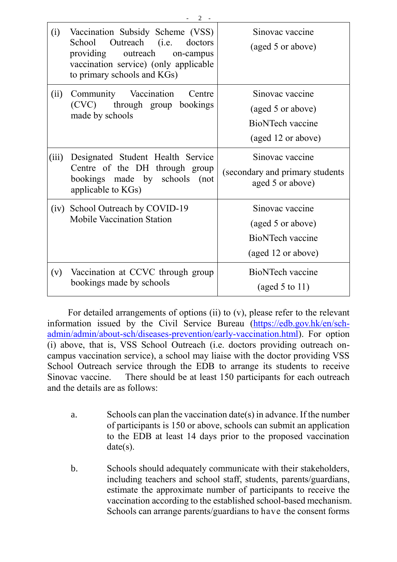| (i)   | Vaccination Subsidy Scheme (VSS)<br>School Outreach (i.e. doctors<br>providing outreach<br>on-campus<br>vaccination service) (only applicable<br>to primary schools and KGs) | Sinovac vaccine<br>(aged 5 or above)                                           |
|-------|------------------------------------------------------------------------------------------------------------------------------------------------------------------------------|--------------------------------------------------------------------------------|
| (ii)  | Community Vaccination<br>Centre<br>(CVC) through group bookings<br>made by schools                                                                                           | Sinovac vaccine<br>(aged 5 or above)<br>BioNTech vaccine<br>(aged 12 or above) |
| (iii) | Designated Student Health Service<br>Centre of the DH through group<br>bookings made by schools<br>(not)<br>applicable to KGs)                                               | Sinovac vaccine<br>(secondary and primary students<br>aged 5 or above)         |
| (iv)  | School Outreach by COVID-19<br><b>Mobile Vaccination Station</b>                                                                                                             | Sinovac vaccine<br>(aged 5 or above)<br>BioNTech vaccine<br>(aged 12 or above) |
| (v)   | Vaccination at CCVC through group<br>bookings made by schools                                                                                                                | BioNTech vaccine<br>(aged 5 to 11)                                             |

 $2 -$ 

For detailed arrangements of options (ii) to (v), please refer to the relevant information issued by the Civil Service Bureau [\(https://edb.gov.hk/en/sch](https://edb.gov.hk/en/sch-admin/admin/about-sch/diseases-prevention/early-vaccination.html)[admin/admin/about-sch/diseases-prevention/early-vaccination.html\)](https://edb.gov.hk/en/sch-admin/admin/about-sch/diseases-prevention/early-vaccination.html). For option (i) above, that is, VSS School Outreach (i.e. doctors providing outreach oncampus vaccination service), a school may liaise with the doctor providing VSS School Outreach service through the EDB to arrange its students to receive Sinovac vaccine. There should be at least 150 participants for each outreach and the details are as follows:

- a. Schools can plan the vaccination date(s) in advance. If the number of participants is 150 or above, schools can submit an application to the EDB at least 14 days prior to the proposed vaccination date(s).
- b. Schools should adequately communicate with their stakeholders, including teachers and school staff, students, parents/guardians, estimate the approximate number of participants to receive the vaccination according to the established school-based mechanism. Schools can arrange parents/guardians to have the consent forms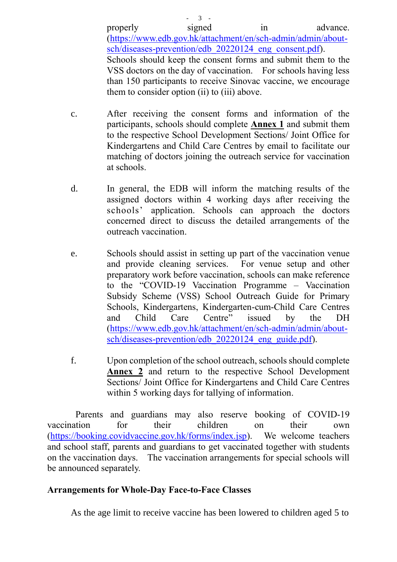properly signed in advance. [\(https://www.edb.gov.hk/attachment/en/sch-admin/admin/about](https://www.edb.gov.hk/attachment/en/sch-admin/admin/about-sch/diseases-prevention/edb_20220124_eng_consent.pdf)sch/diseases-prevention/edb 20220124 eng consent.pdf). Schools should keep the consent forms and submit them to the VSS doctors on the day of vaccination. For schools having less than 150 participants to receive Sinovac vaccine, we encourage them to consider option (ii) to (iii) above.

c. After receiving the consent forms and information of the participants, schools should complete **Annex 1** and submit them to the respective School Development Sections/ Joint Office for Kindergartens and Child Care Centres by email to facilitate our matching of doctors joining the outreach service for vaccination at schools.

 $3 -$ 

- d. In general, the EDB will inform the matching results of the assigned doctors within 4 working days after receiving the schools' application. Schools can approach the doctors concerned direct to discuss the detailed arrangements of the outreach vaccination.
- e. Schools should assist in setting up part of the vaccination venue and provide cleaning services. For venue setup and other preparatory work before vaccination, schools can make reference to the "COVID-19 Vaccination Programme – Vaccination Subsidy Scheme (VSS) School Outreach Guide for Primary Schools, Kindergartens, Kindergarten-cum-Child Care Centres and Child Care Centre" issued by the DH [\(https://www.edb.gov.hk/attachment/en/sch-admin/admin/about](https://www.edb.gov.hk/attachment/en/sch-admin/admin/about-sch/diseases-prevention/edb_20220124_eng_guide.pdf)sch/diseases-prevention/edb 20220124 eng guide.pdf).
- f. Upon completion of the school outreach, schools should complete **Annex 2** and return to the respective School Development Sections/ Joint Office for Kindergartens and Child Care Centres within 5 working days for tallying of information.

Parents and guardians may also reserve booking of COVID-19 vaccination for their children on their own [\(https://booking.covidvaccine.gov.hk/forms/index.jsp\)](https://booking.covidvaccine.gov.hk/forms/index.jsp). We welcome teachers and school staff, parents and guardians to get vaccinated together with students on the vaccination days. The vaccination arrangements for special schools will be announced separately.

## **Arrangements for Whole-Day Face-to-Face Classes**

As the age limit to receive vaccine has been lowered to children aged 5 to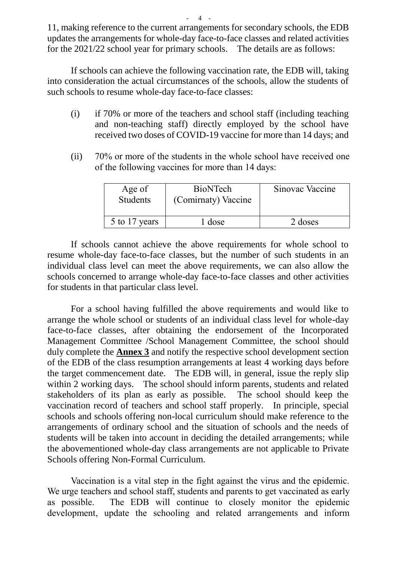11, making reference to the current arrangements for secondary schools, the EDB updates the arrangements for whole-day face-to-face classes and related activities for the 2021/22 school year for primary schools. The details are as follows:

If schools can achieve the following vaccination rate, the EDB will, taking into consideration the actual circumstances of the schools, allow the students of such schools to resume whole-day face-to-face classes:

- (i) if 70% or more of the teachers and school staff (including teaching and non-teaching staff) directly employed by the school have received two doses of COVID-19 vaccine for more than 14 days; and
- (ii) 70% or more of the students in the whole school have received one of the following vaccines for more than 14 days:

| Age of<br><b>Students</b> | <b>BioNTech</b><br>(Comirnaty) Vaccine | Sinovac Vaccine |
|---------------------------|----------------------------------------|-----------------|
| 5 to 17 years             | dose                                   | 2 doses         |

If schools cannot achieve the above requirements for whole school to resume whole-day face-to-face classes, but the number of such students in an individual class level can meet the above requirements, we can also allow the schools concerned to arrange whole-day face-to-face classes and other activities for students in that particular class level.

For a school having fulfilled the above requirements and would like to arrange the whole school or students of an individual class level for whole-day face-to-face classes, after obtaining the endorsement of the Incorporated Management Committee /School Management Committee, the school should duly complete the **Annex 3** and notify the respective school development section of the EDB of the class resumption arrangements at least 4 working days before the target commencement date. The EDB will, in general, issue the reply slip within 2 working days. The school should inform parents, students and related stakeholders of its plan as early as possible. The school should keep the vaccination record of teachers and school staff properly. In principle, special schools and schools offering non-local curriculum should make reference to the arrangements of ordinary school and the situation of schools and the needs of students will be taken into account in deciding the detailed arrangements; while the abovementioned whole-day class arrangements are not applicable to Private Schools offering Non-Formal Curriculum.

Vaccination is a vital step in the fight against the virus and the epidemic. We urge teachers and school staff, students and parents to get vaccinated as early as possible. The EDB will continue to closely monitor the epidemic development, update the schooling and related arrangements and inform